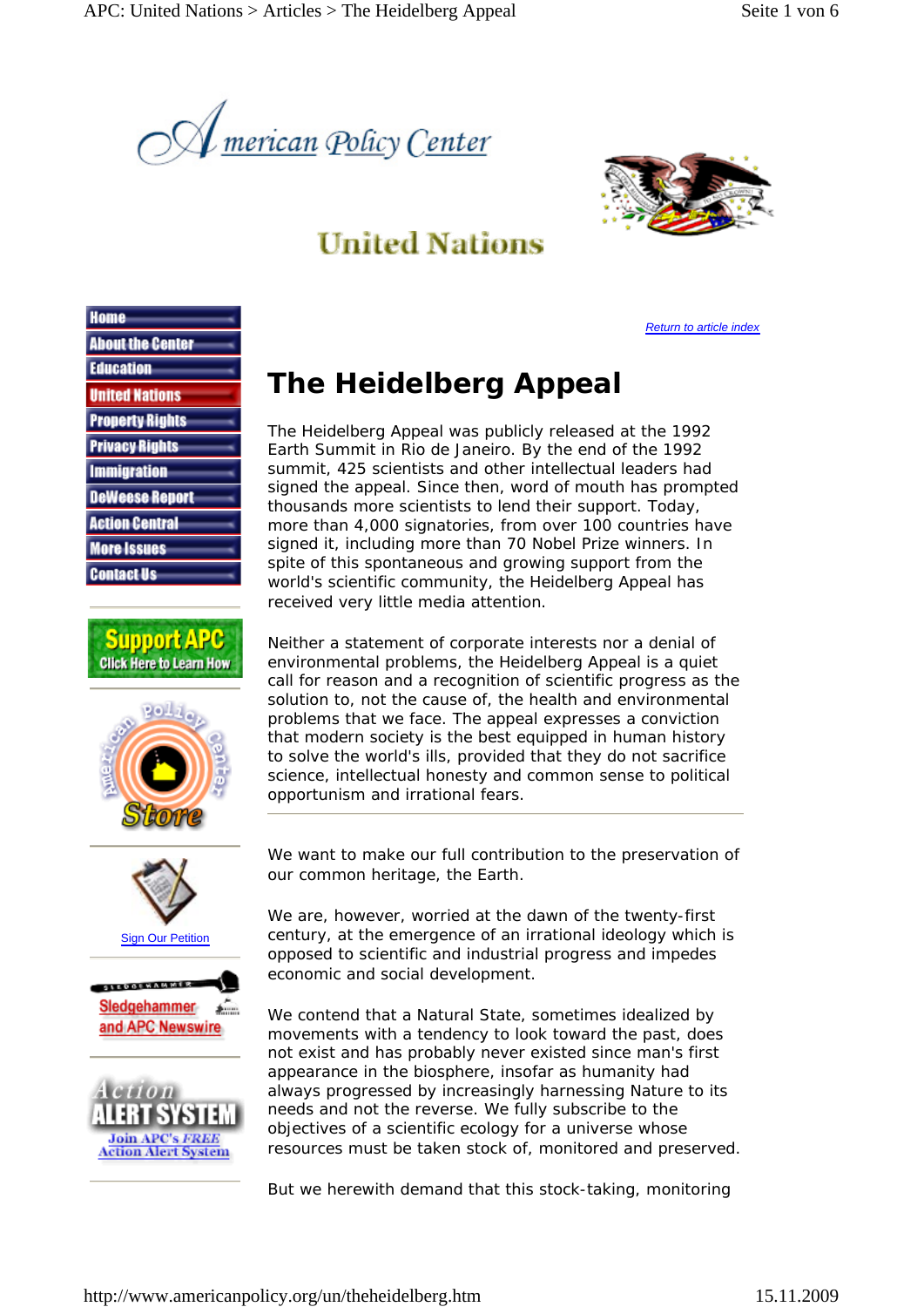



## **United Nations**

*Return to article index*

| Home                    |
|-------------------------|
| <b>About the Center</b> |
| <b>Education</b>        |
| <b>United Nations</b>   |
| <b>Property Rights</b>  |
| <b>Privacy Rights</b>   |
| <b>Immigration</b>      |
| <b>DeWeese Report</b>   |
| <b>Action Central</b>   |
| <b>More Issues</b>      |
| Contact Us              |











## **The Heidelberg Appeal**

The Heidelberg Appeal was publicly released at the 1992 Earth Summit in Rio de Janeiro. By the end of the 1992 summit, 425 scientists and other intellectual leaders had signed the appeal. Since then, word of mouth has prompted thousands more scientists to lend their support. Today, more than 4,000 signatories, from over 100 countries have signed it, including more than 70 Nobel Prize winners. In spite of this spontaneous and growing support from the world's scientific community, the Heidelberg Appeal has received very little media attention.

Neither a statement of corporate interests nor a denial of environmental problems, the Heidelberg Appeal is a quiet call for reason and a recognition of scientific progress as the solution to, not the cause of, the health and environmental problems that we face. The appeal expresses a conviction that modern society is the best equipped in human history to solve the world's ills, provided that they do not sacrifice science, intellectual honesty and common sense to political opportunism and irrational fears.

We want to make our full contribution to the preservation of our common heritage, the Earth.

We are, however, worried at the dawn of the twenty-first century, at the emergence of an irrational ideology which is opposed to scientific and industrial progress and impedes economic and social development.

We contend that a Natural State, sometimes idealized by movements with a tendency to look toward the past, does not exist and has probably never existed since man's first appearance in the biosphere, insofar as humanity had always progressed by increasingly harnessing Nature to its needs and not the reverse. We fully subscribe to the objectives of a scientific ecology for a universe whose resources must be taken stock of, monitored and preserved.

But we herewith demand that this stock-taking, monitoring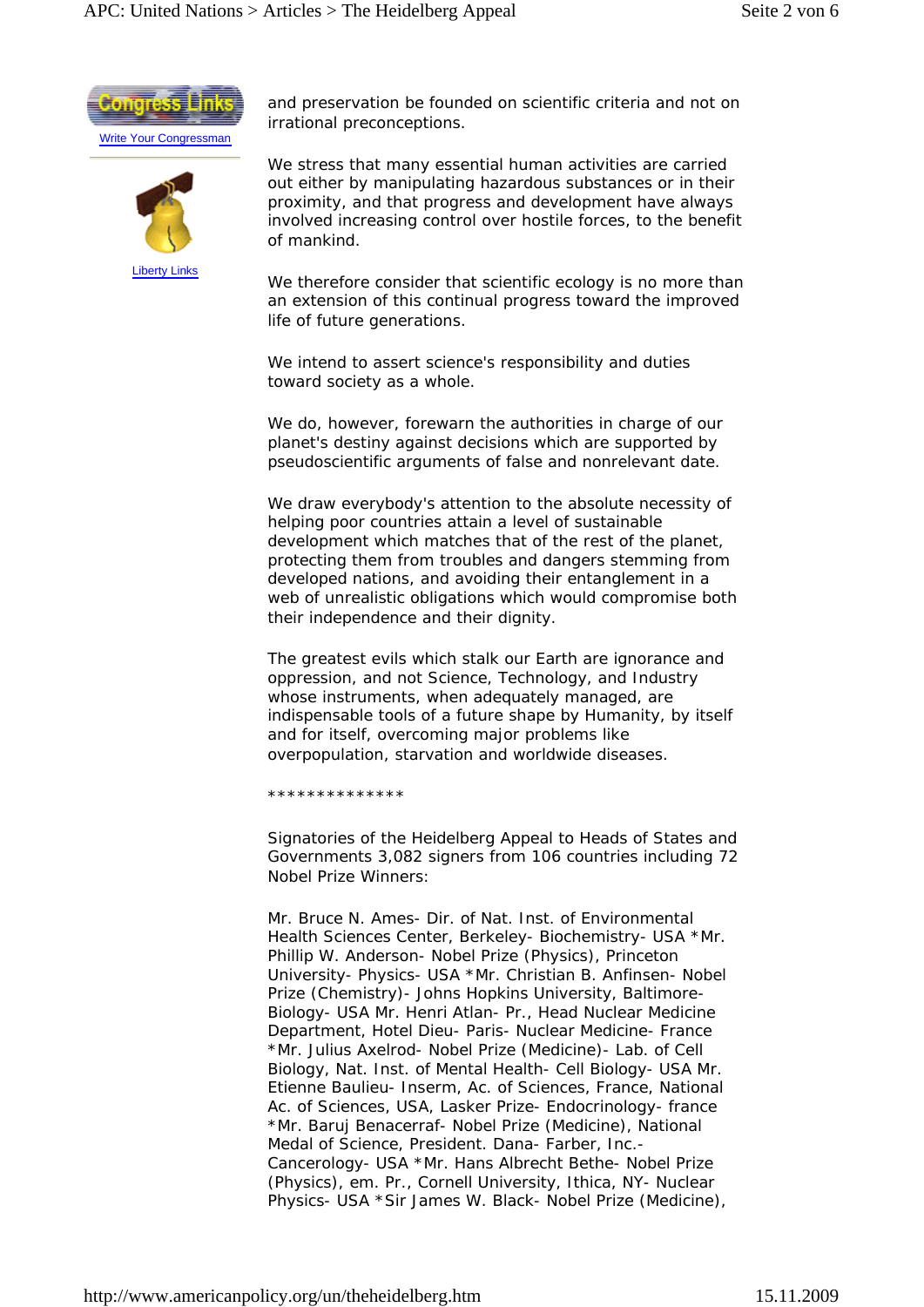



and preservation be founded on scientific criteria and not on irrational preconceptions.

We stress that many essential human activities are carried out either by manipulating hazardous substances or in their proximity, and that progress and development have always involved increasing control over hostile forces, to the benefit of mankind.

We therefore consider that scientific ecology is no more than an extension of this continual progress toward the improved life of future generations.

We intend to assert science's responsibility and duties toward society as a whole.

We do, however, forewarn the authorities in charge of our planet's destiny against decisions which are supported by pseudoscientific arguments of false and nonrelevant date.

We draw everybody's attention to the absolute necessity of helping poor countries attain a level of sustainable development which matches that of the rest of the planet, protecting them from troubles and dangers stemming from developed nations, and avoiding their entanglement in a web of unrealistic obligations which would compromise both their independence and their dignity.

The greatest evils which stalk our Earth are ignorance and oppression, and not Science, Technology, and Industry whose instruments, when adequately managed, are indispensable tools of a future shape by Humanity, by itself and for itself, overcoming major problems like overpopulation, starvation and worldwide diseases.

\*\*\*\*\*\*\*\*\*\*\*\*

Signatories of the Heidelberg Appeal to Heads of States and Governments 3,082 signers from 106 countries including 72 Nobel Prize Winners:

Mr. Bruce N. Ames- Dir. of Nat. Inst. of Environmental Health Sciences Center, Berkeley- Biochemistry- USA \*Mr. Phillip W. Anderson- Nobel Prize (Physics), Princeton University- Physics- USA \*Mr. Christian B. Anfinsen- Nobel Prize (Chemistry)- Johns Hopkins University, Baltimore-Biology- USA Mr. Henri Atlan- Pr., Head Nuclear Medicine Department, Hotel Dieu- Paris- Nuclear Medicine- France \*Mr. Julius Axelrod- Nobel Prize (Medicine)- Lab. of Cell Biology, Nat. Inst. of Mental Health- Cell Biology- USA Mr. Etienne Baulieu- Inserm, Ac. of Sciences, France, National Ac. of Sciences, USA, Lasker Prize- Endocrinology- france \*Mr. Baruj Benacerraf- Nobel Prize (Medicine), National Medal of Science, President. Dana- Farber, Inc.- Cancerology- USA \*Mr. Hans Albrecht Bethe- Nobel Prize (Physics), em. Pr., Cornell University, Ithica, NY- Nuclear Physics- USA \*Sir James W. Black- Nobel Prize (Medicine),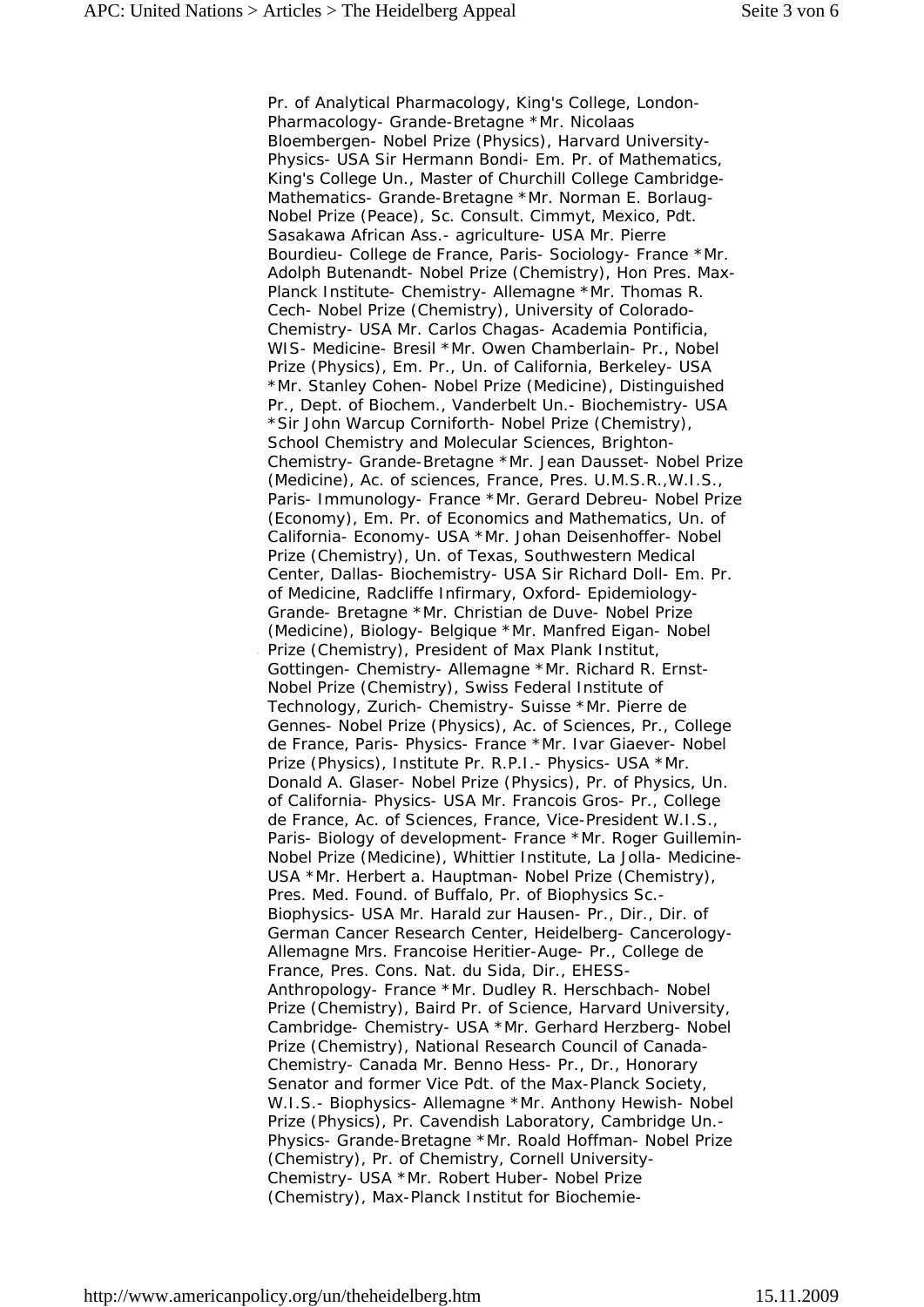Pr. of Analytical Pharmacology, King's College, London-Pharmacology- Grande-Bretagne \*Mr. Nicolaas Bloembergen- Nobel Prize (Physics), Harvard University-Physics- USA Sir Hermann Bondi- Em. Pr. of Mathematics, King's College Un., Master of Churchill College Cambridge-Mathematics- Grande-Bretagne \*Mr. Norman E. Borlaug-Nobel Prize (Peace), Sc. Consult. Cimmyt, Mexico, Pdt. Sasakawa African Ass.- agriculture- USA Mr. Pierre Bourdieu- College de France, Paris- Sociology- France \*Mr. Adolph Butenandt- Nobel Prize (Chemistry), Hon Pres. Max-Planck Institute- Chemistry- Allemagne \*Mr. Thomas R. Cech- Nobel Prize (Chemistry), University of Colorado-Chemistry- USA Mr. Carlos Chagas- Academia Pontificia, WIS- Medicine- Bresil \*Mr. Owen Chamberlain- Pr., Nobel Prize (Physics), Em. Pr., Un. of California, Berkeley- USA \*Mr. Stanley Cohen- Nobel Prize (Medicine), Distinguished Pr., Dept. of Biochem., Vanderbelt Un.- Biochemistry- USA \*Sir John Warcup Corniforth- Nobel Prize (Chemistry), School Chemistry and Molecular Sciences, Brighton-Chemistry- Grande-Bretagne \*Mr. Jean Dausset- Nobel Prize (Medicine), Ac. of sciences, France, Pres. U.M.S.R.,W.I.S., Paris- Immunology- France \*Mr. Gerard Debreu- Nobel Prize (Economy), Em. Pr. of Economics and Mathematics, Un. of California- Economy- USA \*Mr. Johan Deisenhoffer- Nobel Prize (Chemistry), Un. of Texas, Southwestern Medical Center, Dallas- Biochemistry- USA Sir Richard Doll- Em. Pr. of Medicine, Radcliffe Infirmary, Oxford- Epidemiology-Grande- Bretagne \*Mr. Christian de Duve- Nobel Prize (Medicine), Biology- Belgique \*Mr. Manfred Eigan- Nobel Prize (Chemistry), President of Max Plank Institut, Gottingen- Chemistry- Allemagne \*Mr. Richard R. Ernst-Nobel Prize (Chemistry), Swiss Federal Institute of Technology, Zurich- Chemistry- Suisse \*Mr. Pierre de Gennes- Nobel Prize (Physics), Ac. of Sciences, Pr., College de France, Paris- Physics- France \*Mr. Ivar Giaever- Nobel Prize (Physics), Institute Pr. R.P.I.- Physics- USA \*Mr. Donald A. Glaser- Nobel Prize (Physics), Pr. of Physics, Un. of California- Physics- USA Mr. Francois Gros- Pr., College de France, Ac. of Sciences, France, Vice-President W.I.S., Paris- Biology of development- France \*Mr. Roger Guillemin-Nobel Prize (Medicine), Whittier Institute, La Jolla- Medicine-USA \*Mr. Herbert a. Hauptman- Nobel Prize (Chemistry), Pres. Med. Found. of Buffalo, Pr. of Biophysics Sc.- Biophysics- USA Mr. Harald zur Hausen- Pr., Dir., Dir. of German Cancer Research Center, Heidelberg- Cancerology-Allemagne Mrs. Francoise Heritier-Auge- Pr., College de France, Pres. Cons. Nat. du Sida, Dir., EHESS-Anthropology- France \*Mr. Dudley R. Herschbach- Nobel Prize (Chemistry), Baird Pr. of Science, Harvard University, Cambridge- Chemistry- USA \*Mr. Gerhard Herzberg- Nobel Prize (Chemistry), National Research Council of Canada-Chemistry- Canada Mr. Benno Hess- Pr., Dr., Honorary Senator and former Vice Pdt. of the Max-Planck Society, W.I.S.- Biophysics- Allemagne \*Mr. Anthony Hewish- Nobel Prize (Physics), Pr. Cavendish Laboratory, Cambridge Un.- Physics- Grande-Bretagne \*Mr. Roald Hoffman- Nobel Prize (Chemistry), Pr. of Chemistry, Cornell University-Chemistry- USA \*Mr. Robert Huber- Nobel Prize (Chemistry), Max-Planck Institut for Biochemie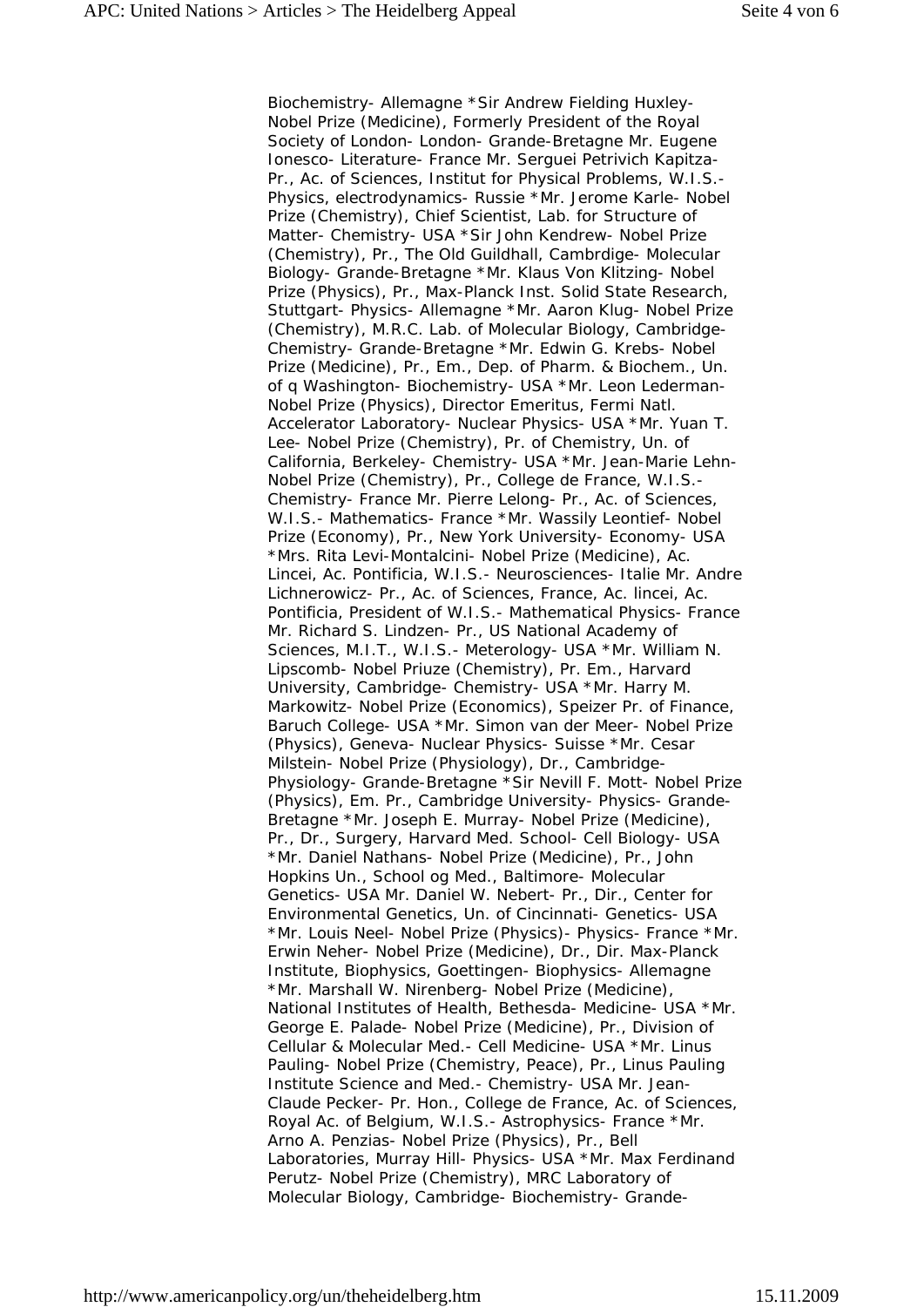Biochemistry- Allemagne \*Sir Andrew Fielding Huxley-Nobel Prize (Medicine), Formerly President of the Royal Society of London- London- Grande-Bretagne Mr. Eugene Ionesco- Literature- France Mr. Serguei Petrivich Kapitza-Pr., Ac. of Sciences, Institut for Physical Problems, W.I.S.- Physics, electrodynamics- Russie \*Mr. Jerome Karle- Nobel Prize (Chemistry), Chief Scientist, Lab. for Structure of Matter- Chemistry- USA \*Sir John Kendrew- Nobel Prize (Chemistry), Pr., The Old Guildhall, Cambrdige- Molecular Biology- Grande-Bretagne \*Mr. Klaus Von Klitzing- Nobel Prize (Physics), Pr., Max-Planck Inst. Solid State Research, Stuttgart- Physics- Allemagne \*Mr. Aaron Klug- Nobel Prize (Chemistry), M.R.C. Lab. of Molecular Biology, Cambridge-Chemistry- Grande-Bretagne \*Mr. Edwin G. Krebs- Nobel Prize (Medicine), Pr., Em., Dep. of Pharm. & Biochem., Un. of q Washington- Biochemistry- USA \*Mr. Leon Lederman-Nobel Prize (Physics), Director Emeritus, Fermi Natl. Accelerator Laboratory- Nuclear Physics- USA \*Mr. Yuan T. Lee- Nobel Prize (Chemistry), Pr. of Chemistry, Un. of California, Berkeley- Chemistry- USA \*Mr. Jean-Marie Lehn-Nobel Prize (Chemistry), Pr., College de France, W.I.S.- Chemistry- France Mr. Pierre Lelong- Pr., Ac. of Sciences, W.I.S.- Mathematics- France \*Mr. Wassily Leontief- Nobel Prize (Economy), Pr., New York University- Economy- USA \*Mrs. Rita Levi-Montalcini- Nobel Prize (Medicine), Ac. Lincei, Ac. Pontificia, W.I.S.- Neurosciences- Italie Mr. Andre Lichnerowicz- Pr., Ac. of Sciences, France, Ac. lincei, Ac. Pontificia, President of W.I.S.- Mathematical Physics- France Mr. Richard S. Lindzen- Pr., US National Academy of Sciences, M.I.T., W.I.S.- Meterology- USA \*Mr. William N. Lipscomb- Nobel Priuze (Chemistry), Pr. Em., Harvard University, Cambridge- Chemistry- USA \*Mr. Harry M. Markowitz- Nobel Prize (Economics), Speizer Pr. of Finance, Baruch College- USA \*Mr. Simon van der Meer- Nobel Prize (Physics), Geneva- Nuclear Physics- Suisse \*Mr. Cesar Milstein- Nobel Prize (Physiology), Dr., Cambridge-Physiology- Grande-Bretagne \*Sir Nevill F. Mott- Nobel Prize (Physics), Em. Pr., Cambridge University- Physics- Grande-Bretagne \*Mr. Joseph E. Murray- Nobel Prize (Medicine), Pr., Dr., Surgery, Harvard Med. School- Cell Biology- USA \*Mr. Daniel Nathans- Nobel Prize (Medicine), Pr., John Hopkins Un., School og Med., Baltimore- Molecular Genetics- USA Mr. Daniel W. Nebert- Pr., Dir., Center for Environmental Genetics, Un. of Cincinnati- Genetics- USA \*Mr. Louis Neel- Nobel Prize (Physics)- Physics- France \*Mr. Erwin Neher- Nobel Prize (Medicine), Dr., Dir. Max-Planck Institute, Biophysics, Goettingen- Biophysics- Allemagne \*Mr. Marshall W. Nirenberg- Nobel Prize (Medicine), National Institutes of Health, Bethesda- Medicine- USA \*Mr. George E. Palade- Nobel Prize (Medicine), Pr., Division of Cellular & Molecular Med.- Cell Medicine- USA \*Mr. Linus Pauling- Nobel Prize (Chemistry, Peace), Pr., Linus Pauling Institute Science and Med.- Chemistry- USA Mr. Jean-Claude Pecker- Pr. Hon., College de France, Ac. of Sciences, Royal Ac. of Belgium, W.I.S.- Astrophysics- France \*Mr. Arno A. Penzias- Nobel Prize (Physics), Pr., Bell Laboratories, Murray Hill- Physics- USA \*Mr. Max Ferdinand Perutz- Nobel Prize (Chemistry), MRC Laboratory of Molecular Biology, Cambridge- Biochemistry- Grande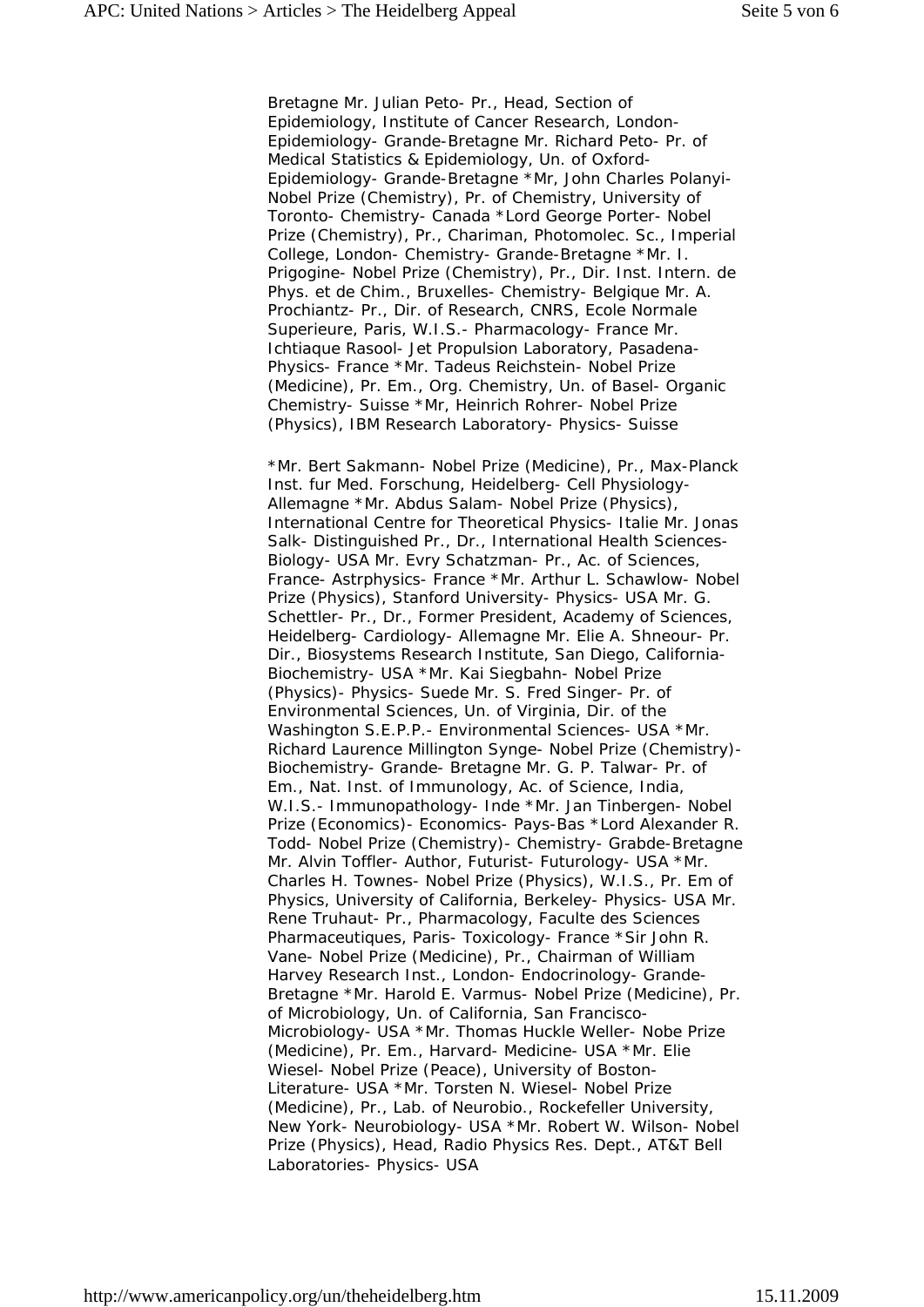Bretagne Mr. Julian Peto- Pr., Head, Section of Epidemiology, Institute of Cancer Research, London-Epidemiology- Grande-Bretagne Mr. Richard Peto- Pr. of Medical Statistics & Epidemiology, Un. of Oxford-Epidemiology- Grande-Bretagne \*Mr, John Charles Polanyi-Nobel Prize (Chemistry), Pr. of Chemistry, University of Toronto- Chemistry- Canada \*Lord George Porter- Nobel Prize (Chemistry), Pr., Chariman, Photomolec. Sc., Imperial College, London- Chemistry- Grande-Bretagne \*Mr. I. Prigogine- Nobel Prize (Chemistry), Pr., Dir. Inst. Intern. de Phys. et de Chim., Bruxelles- Chemistry- Belgique Mr. A. Prochiantz- Pr., Dir. of Research, CNRS, Ecole Normale Superieure, Paris, W.I.S.- Pharmacology- France Mr. Ichtiaque Rasool- Jet Propulsion Laboratory, Pasadena-Physics- France \*Mr. Tadeus Reichstein- Nobel Prize (Medicine), Pr. Em., Org. Chemistry, Un. of Basel- Organic Chemistry- Suisse \*Mr, Heinrich Rohrer- Nobel Prize (Physics), IBM Research Laboratory- Physics- Suisse

\*Mr. Bert Sakmann- Nobel Prize (Medicine), Pr., Max-Planck Inst. fur Med. Forschung, Heidelberg- Cell Physiology-Allemagne \*Mr. Abdus Salam- Nobel Prize (Physics), International Centre for Theoretical Physics- Italie Mr. Jonas Salk- Distinguished Pr., Dr., International Health Sciences-Biology- USA Mr. Evry Schatzman- Pr., Ac. of Sciences, France- Astrphysics- France \*Mr. Arthur L. Schawlow- Nobel Prize (Physics), Stanford University- Physics- USA Mr. G. Schettler- Pr., Dr., Former President, Academy of Sciences, Heidelberg- Cardiology- Allemagne Mr. Elie A. Shneour- Pr. Dir., Biosystems Research Institute, San Diego, California-Biochemistry- USA \*Mr. Kai Siegbahn- Nobel Prize (Physics)- Physics- Suede Mr. S. Fred Singer- Pr. of Environmental Sciences, Un. of Virginia, Dir. of the Washington S.E.P.P.- Environmental Sciences- USA \*Mr. Richard Laurence Millington Synge- Nobel Prize (Chemistry)- Biochemistry- Grande- Bretagne Mr. G. P. Talwar- Pr. of Em., Nat. Inst. of Immunology, Ac. of Science, India, W.I.S.- Immunopathology- Inde \*Mr. Jan Tinbergen- Nobel Prize (Economics)- Economics- Pays-Bas \*Lord Alexander R. Todd- Nobel Prize (Chemistry)- Chemistry- Grabde-Bretagne Mr. Alvin Toffler- Author, Futurist- Futurology- USA \*Mr. Charles H. Townes- Nobel Prize (Physics), W.I.S., Pr. Em of Physics, University of California, Berkeley- Physics- USA Mr. Rene Truhaut- Pr., Pharmacology, Faculte des Sciences Pharmaceutiques, Paris- Toxicology- France \*Sir John R. Vane- Nobel Prize (Medicine), Pr., Chairman of William Harvey Research Inst., London- Endocrinology- Grande-Bretagne \*Mr. Harold E. Varmus- Nobel Prize (Medicine), Pr. of Microbiology, Un. of California, San Francisco-Microbiology- USA \*Mr. Thomas Huckle Weller- Nobe Prize (Medicine), Pr. Em., Harvard- Medicine- USA \*Mr. Elie Wiesel- Nobel Prize (Peace), University of Boston-Literature- USA \*Mr. Torsten N. Wiesel- Nobel Prize (Medicine), Pr., Lab. of Neurobio., Rockefeller University, New York- Neurobiology- USA \*Mr. Robert W. Wilson- Nobel Prize (Physics), Head, Radio Physics Res. Dept., AT&T Bell Laboratories- Physics- USA